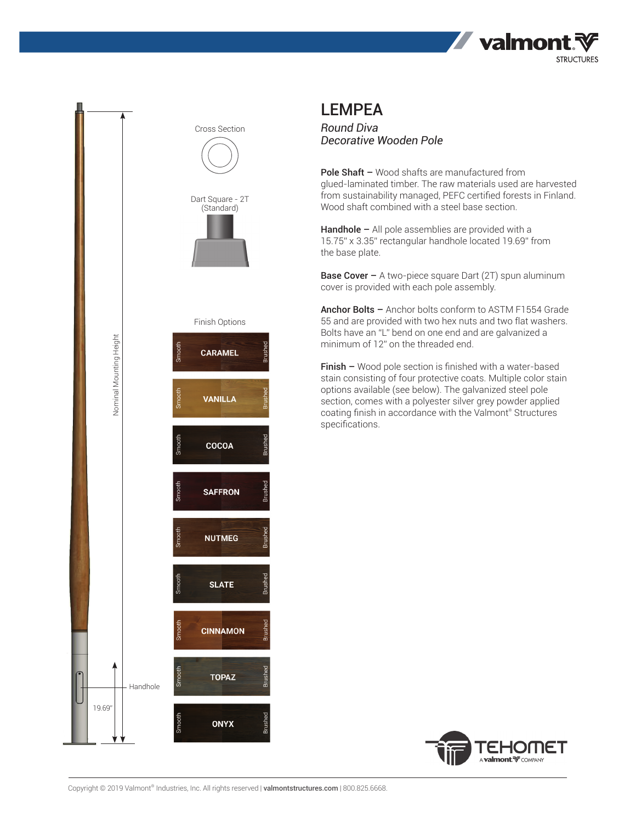



## LEMPEA

*Round Diva Decorative Wooden Pole*

Pole Shaft - Wood shafts are manufactured from glued-laminated timber. The raw materials used are harvested from sustainability managed, PEFC certified forests in Finland. Wood shaft combined with a steel base section.

Handhole – All pole assemblies are provided with a 15.75" x 3.35" rectangular handhole located 19.69" from the base plate.

**Base Cover –** A two-piece square Dart (2T) spun aluminum cover is provided with each pole assembly.

Anchor Bolts - Anchor bolts conform to ASTM F1554 Grade 55 and are provided with two hex nuts and two flat washers. Bolts have an "L" bend on one end and are galvanized a minimum of 12" on the threaded end.

Finish – Wood pole section is finished with a water-based stain consisting of four protective coats. Multiple color stain options available (see below). The galvanized steel pole section, comes with a polyester silver grey powder applied coating finish in accordance with the Valmont® Structures specifications.